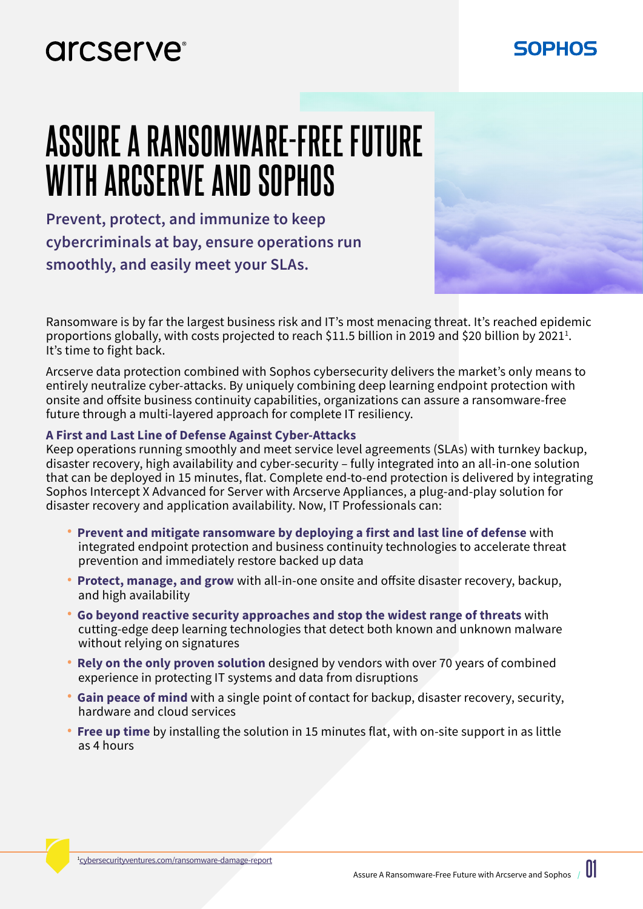### arcserve<sup>®</sup>

# **ASSURE A RANSOMWARE-FREE FUTURE WITH ARCSERVE AND SOPHOS**

**Prevent, protect, and immunize to keep cybercriminals at bay, ensure operations run smoothly, and easily meet your SLAs.**

Ransomware is by far the largest business risk and IT's most menacing threat. It's reached epidemic proportions globally, with costs projected to reach \$11.5 billion in 2019 and \$20 billion by 2021<sup>1</sup>. It's time to fight back.

Arcserve data protection combined with Sophos cybersecurity delivers the market's only means to entirely neutralize cyber-attacks. By uniquely combining deep learning endpoint protection with onsite and offsite business continuity capabilities, organizations can assure a ransomware-free future through a multi-layered approach for complete IT resiliency.

#### **A First and Last Line of Defense Against Cyber-Attacks**

Keep operations running smoothly and meet service level agreements (SLAs) with turnkey backup, disaster recovery, high availability and cyber-security – fully integrated into an all-in-one solution that can be deployed in 15 minutes, flat. Complete end-to-end protection is delivered by integrating Sophos Intercept X Advanced for Server with Arcserve Appliances, a plug-and-play solution for disaster recovery and application availability. Now, IT Professionals can:

- **Prevent and mitigate ransomware by deploying a first and last line of defense** with integrated endpoint protection and business continuity technologies to accelerate threat prevention and immediately restore backed up data
- **Protect, manage, and grow** with all-in-one onsite and offsite disaster recovery, backup, and high availability
- **Go beyond reactive security approaches and stop the widest range of threats** with cutting-edge deep learning technologies that detect both known and unknown malware without relying on signatures
- **Rely on the only proven solution** designed by vendors with over 70 years of combined experience in protecting IT systems and data from disruptions
- **Gain peace of mind** with a single point of contact for backup, disaster recovery, security, hardware and cloud services
- **Free up time** by installing the solution in 15 minutes flat, with on-site support in as little as 4 hours

SOPHOS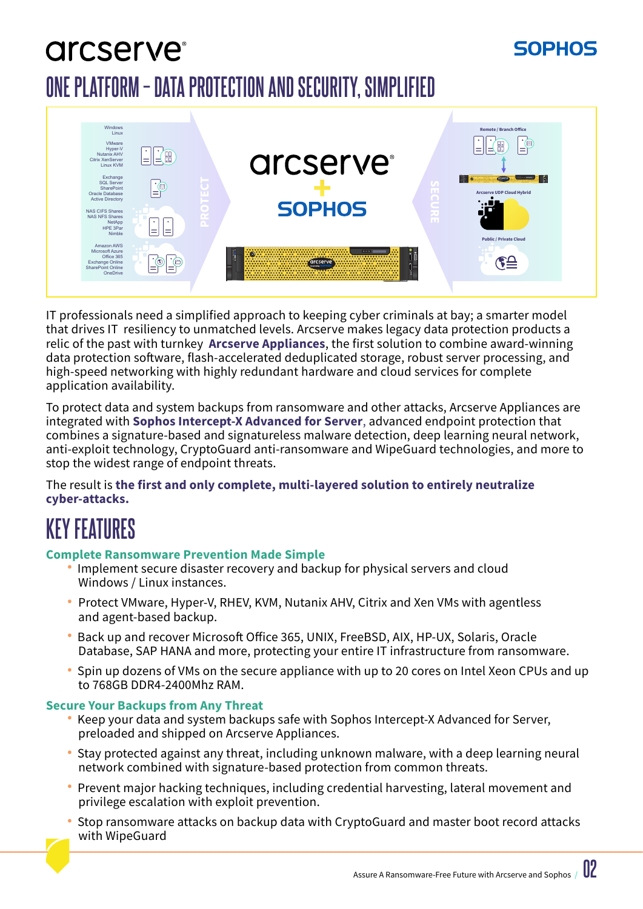## arcserve<sup>®</sup> **ONE PLATFORM – DATA PROTECTION AND SECURITY, SIMPLIFIED**



IT professionals need a simplified approach to keeping cyber criminals at bay; a smarter model that drives IT resiliency to unmatched levels. Arcserve makes legacy data protection products a relic of the past with turnkey **Arcserve Appliances**, the first solution to combine award-winning data protection software, flash-accelerated deduplicated storage, robust server processing, and high-speed networking with highly redundant hardware and cloud services for complete application availability.

To protect data and system backups from ransomware and other attacks, Arcserve Appliances are integrated with **Sophos Intercept-X Advanced for Server**, advanced endpoint protection that combines a signature-based and signatureless malware detection, deep learning neural network, anti-exploit technology, CryptoGuard anti-ransomware and WipeGuard technologies, and more to stop the widest range of endpoint threats.

The result is **the first and only complete, multi-layered solution to entirely neutralize cyber-attacks.**

## **KEY FEATURES**

#### **Complete Ransomware Prevention Made Simple**

- Implement secure disaster recovery and backup for physical servers and cloud Windows / Linux instances.
- **•** Protect VMware, Hyper-V, RHEV, KVM, Nutanix AHV, Citrix and Xen VMs with agentless and agent-based backup.
- Back up and recover Microsoft Office 365, UNIX, FreeBSD, AIX, HP-UX, Solaris, Oracle Database, SAP HANA and more, protecting your entire IT infrastructure from ransomware.
- Spin up dozens of VMs on the secure appliance with up to 20 cores on Intel Xeon CPUs and up to 768GB DDR4-2400Mhz RAM.

#### **Secure Your Backups from Any Threat**

- Keep your data and system backups safe with Sophos Intercept-X Advanced for Server, preloaded and shipped on Arcserve Appliances.
- Stay protected against any threat, including unknown malware, with a deep learning neural network combined with signature-based protection from common threats.
- Prevent major hacking techniques, including credential harvesting, lateral movement and privilege escalation with exploit prevention.
- Stop ransomware attacks on backup data with CryptoGuard and master boot record attacks with WipeGuard

SOPHOS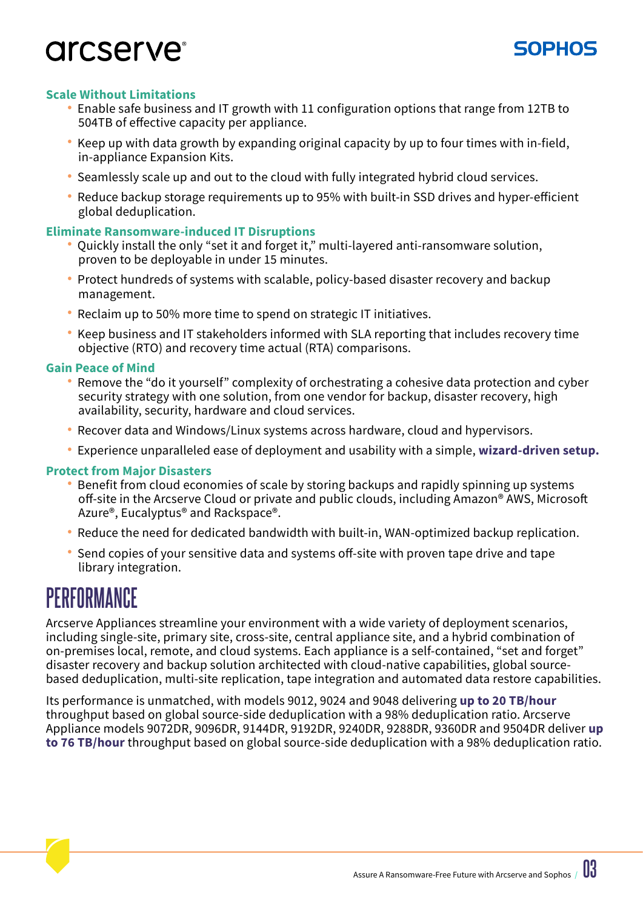### arcserve<sup>®</sup>



#### **Scale Without Limitations**

- Enable safe business and IT growth with 11 configuration options that range from 12TB to 504TB of effective capacity per appliance.
- Keep up with data growth by expanding original capacity by up to four times with in-field, in-appliance Expansion Kits.
- Seamlessly scale up and out to the cloud with fully integrated hybrid cloud services.
- Reduce backup storage requirements up to 95% with built-in SSD drives and hyper-efficient global deduplication.

#### **Eliminate Ransomware-induced IT Disruptions**

- Quickly install the only "set it and forget it," multi-layered anti-ransomware solution, proven to be deployable in under 15 minutes.
- Protect hundreds of systems with scalable, policy-based disaster recovery and backup management.
- Reclaim up to 50% more time to spend on strategic IT initiatives.
- Keep business and IT stakeholders informed with SLA reporting that includes recovery time objective (RTO) and recovery time actual (RTA) comparisons.

#### **Gain Peace of Mind**

- Remove the "do it yourself" complexity of orchestrating a cohesive data protection and cyber security strategy with one solution, from one vendor for backup, disaster recovery, high availability, security, hardware and cloud services.
- Recover data and Windows/Linux systems across hardware, cloud and hypervisors.
- Experience unparalleled ease of deployment and usability with a simple, **wizard-driven setup.**

#### **Protect from Major Disasters**

- Benefit from cloud economies of scale by storing backups and rapidly spinning up systems off-site in the Arcserve Cloud or private and public clouds, including Amazon® AWS, Microsoft Azure®, Eucalyptus® and Rackspace®.
- Reduce the need for dedicated bandwidth with built-in, WAN-optimized backup replication.
- Send copies of your sensitive data and systems off-site with proven tape drive and tape library integration.

### **PERFORMANCE**

Arcserve Appliances streamline your environment with a wide variety of deployment scenarios, including single-site, primary site, cross-site, central appliance site, and a hybrid combination of on-premises local, remote, and cloud systems. Each appliance is a self-contained, "set and forget" disaster recovery and backup solution architected with cloud-native capabilities, global sourcebased deduplication, multi-site replication, tape integration and automated data restore capabilities.

Its performance is unmatched, with models 9012, 9024 and 9048 delivering **up to 20 TB/hour** throughput based on global source-side deduplication with a 98% deduplication ratio. Arcserve Appliance models 9072DR, 9096DR, 9144DR, 9192DR, 9240DR, 9288DR, 9360DR and 9504DR deliver **up to 76 TB/hour** throughput based on global source-side deduplication with a 98% deduplication ratio.